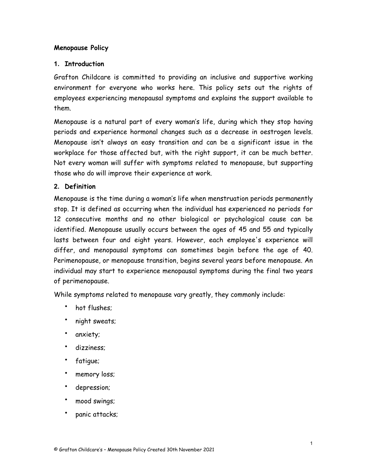# **Menopause Policy**

#### **1. Introduction**

Grafton Childcare is committed to providing an inclusive and supportive working environment for everyone who works here. This policy sets out the rights of employees experiencing menopausal symptoms and explains the support available to them.

Menopause is a natural part of every woman's life, during which they stop having periods and experience hormonal changes such as a decrease in oestrogen levels. Menopause isn't always an easy transition and can be a significant issue in the workplace for those affected but, with the right support, it can be much better. Not every woman will suffer with symptoms related to menopause, but supporting those who do will improve their experience at work.

#### **2. Definition**

Menopause is the time during a woman's life when menstruation periods permanently stop. It is defined as occurring when the individual has experienced no periods for 12 consecutive months and no other biological or psychological cause can be identified. Menopause usually occurs between the ages of 45 and 55 and typically lasts between four and eight years. However, each employee's experience will differ, and menopausal symptoms can sometimes begin before the age of 40. Perimenopause, or menopause transition, begins several years before menopause. An individual may start to experience menopausal symptoms during the final two years of perimenopause.

While symptoms related to menopause vary greatly, they commonly include:

- hot flushes;
- night sweats;
- anxiety;
- dizziness;
- fatigue;
- memory loss;
- depression;
- mood swings;
- panic attacks;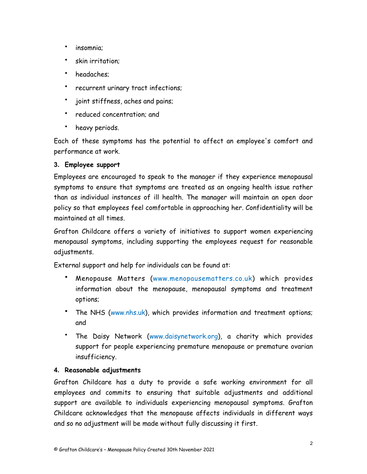- insomnia;
- skin irritation;
- headaches;
- recurrent urinary tract infections;
- joint stiffness, aches and pains;
- reduced concentration; and
- heavy periods.

Each of these symptoms has the potential to affect an employee's comfort and performance at work.

# **3. Employee support**

Employees are encouraged to speak to the manager if they experience menopausal symptoms to ensure that symptoms are treated as an ongoing health issue rather than as individual instances of ill health. The manager will maintain an open door policy so that employees feel comfortable in approaching her. Confidentiality will be maintained at all times.

Grafton Childcare offers a variety of initiatives to support women experiencing menopausal symptoms, including supporting the employees request for reasonable adjustments.

External support and help for individuals can be found at:

- Menopause Matters ([www.menopausematters.co.uk\)](http://www.menopausematters.co.uk) which provides information about the menopause, menopausal symptoms and treatment options;
- The NHS ([www.nhs.uk](http://www.nhs.uk)), which provides information and treatment options; and
- The Daisy Network [\(www.daisynetwork.org\)](http://www.daisynetwork.org), a charity which provides support for people experiencing premature menopause or premature ovarian insufficiency.

# **4. Reasonable adjustments**

Grafton Childcare has a duty to provide a safe working environment for all employees and commits to ensuring that suitable adjustments and additional support are available to individuals experiencing menopausal symptoms. Grafton Childcare acknowledges that the menopause affects individuals in different ways and so no adjustment will be made without fully discussing it first.